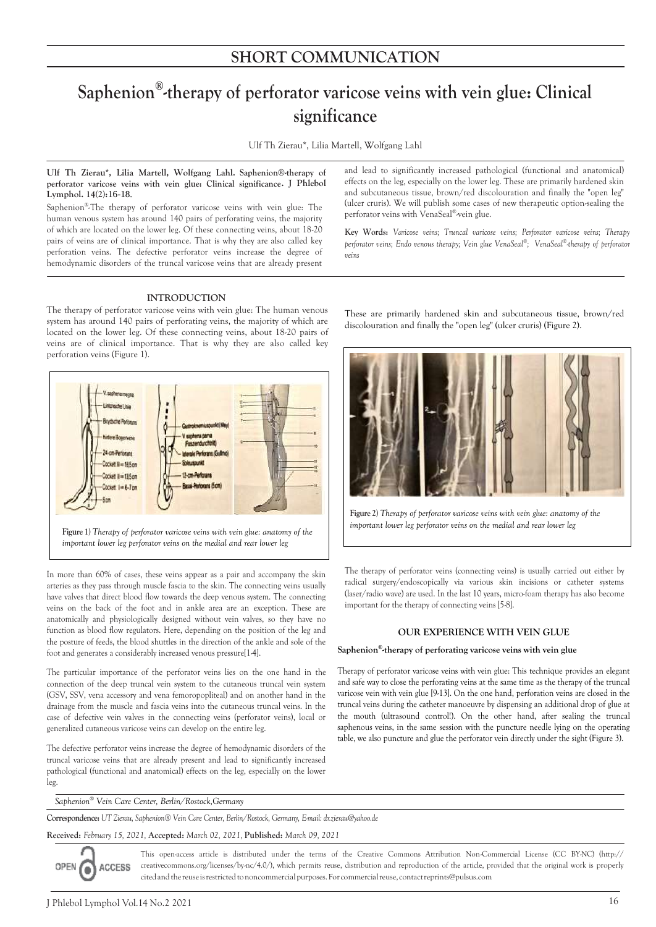# **Saphenion® -therapy of perforator varicose veins with vein glue: Clinical significance**

Ulf Th Zierau\*, Lilia Martell, Wolfgang Lahl

# **Ulf Th Zierau\*, Lilia Martell, Wolfgang Lahl. Saphenion®-therapy of perforator varicose veins with vein glue: Clinical significance. J Phlebol Lymphol. 14(2 ):**16-18.

Saphenion<sup>®</sup>-The therapy of perforator varicose veins with vein glue: The human venous system has around 140 pairs of perforating veins, the majority of which are located on the lower leg. Of these connecting veins, about 18-20 pairs of veins are of clinical importance. That is why they are also called key perforation veins. The defective perforator veins increase the degree of hemodynamic disorders of the truncal varicose veins that are already present

# **INTRODUCTION**

The therapy of perforator varicose veins with vein glue: The human venous system has around 140 pairs of perforating veins, the majority of which are located on the lower leg. Of these connecting veins, about 18-20 pairs of veins are of clinical importance. That is why they are also called key perforation veins (Figure 1).



**Figure 1)** *Therapy of perforator varicose veins with vein glue: anatomy of the important lower leg perforator veins on the medial and rear lower leg*

In more than 60% of cases, these veins appear as a pair and accompany the skin arteries as they pass through muscle fascia to the skin. The connecting veins usually have valves that direct blood flow towards the deep venous system. The connecting veins on the back of the foot and in ankle area are an exception. These are anatomically and physiologically designed without vein valves, so they have no function as blood flow regulators. Here, depending on the position of the leg and the posture of feeds, the blood shuttles in the direction of the ankle and sole of the foot and generates a considerably increased venous pressure[1-4].

The particular importance of the perforator veins lies on the one hand in the connection of the deep truncal vein system to the cutaneous truncal vein system (GSV, SSV, vena accessory and vena femoropopliteal) and on another hand in the drainage from the muscle and fascia veins into the cutaneous truncal veins. In the case of defective vein valves in the connecting veins (perforator veins), local or generalized cutaneous varicose veins can develop on the entire leg.

The defective perforator veins increase the degree of hemodynamic disorders of the truncal varicose veins that are already present and lead to significantly increased pathological (functional and anatomical) effects on the leg, especially on the lower leg.

*Saphenion® Vein Care Center, Berlin/Rostock,Germany*

**Correspondence:** *UT Zierau, Saphenion® Vein Care Center, Berlin/Rostock, Germany, E-mail: dr.zierau@yahoo.de*

**Received:** *February 15, 2021,* **Accepted:** *March 02, 2021,* **Published:** *March 09, 2021*

OPEN ACCESS

This open-access article is distributed under the terms of the Creative Commons Attribution Non-Commercial License (CC BY-NC) (http:// creativecommons.org/licenses/by-nc/4.0/), which permits reuse, distribution and reproduction of the article, provided that the original work is properly citedandthereuse isrestrictedtononcommercialpurposes.Forcommercialreuse,contactreprints@pulsus.com

and lead to significantly increased pathological (functional and anatomical) effects on the leg, especially on the lower leg. These are primarily hardened skin and subcutaneous tissue, brown/red discolouration and finally the "open leg" (ulcer cruris). We will publish some cases of new therapeutic option-sealing the perforator veins with VenaSeal® -vein glue.

**Key Words:** *Varicose veins; Truncal varicose veins; Perforator varicose veins; Therapy perforator veins; Endo venous therapy; Vein glue VenaSeal® ; VenaSeal® -therapy of perforator veins*

These are primarily hardened skin and subcutaneous tissue, brown/red discolouration and finally the "open leg" (ulcer cruris) (Figure 2).



**Figure 2)** *Therapy of perforator varicose veins with vein glue: anatomy of the important lower leg perforator veins on the medial and rear lower leg*

The therapy of perforator veins (connecting veins) is usually carried out either by radical surgery/endoscopically via various skin incisions or catheter systems (laser/radio wave) are used. In the last 10 years, micro-foam therapy has also become important for the therapy of connecting veins [5-8].

# **OUR EXPERIENCE WITH VEIN GLUE**

### **Saphenion® -therapy of perforating varicose veins with vein glue**

Therapy of perforator varicose veins with vein glue: This technique provides an elegant and safe way to close the perforating veins at the same time as the therapy of the truncal varicose vein with vein glue [9-13]. On the one hand, perforation veins are closed in the truncal veins during the catheter manoeuvre by dispensing an additional drop of glue at the mouth (ultrasound control!). On the other hand, after sealing the truncal saphenous veins, in the same session with the puncture needle lying on the operating table, we also puncture and glue the perforator vein directly under the sight (Figure 3).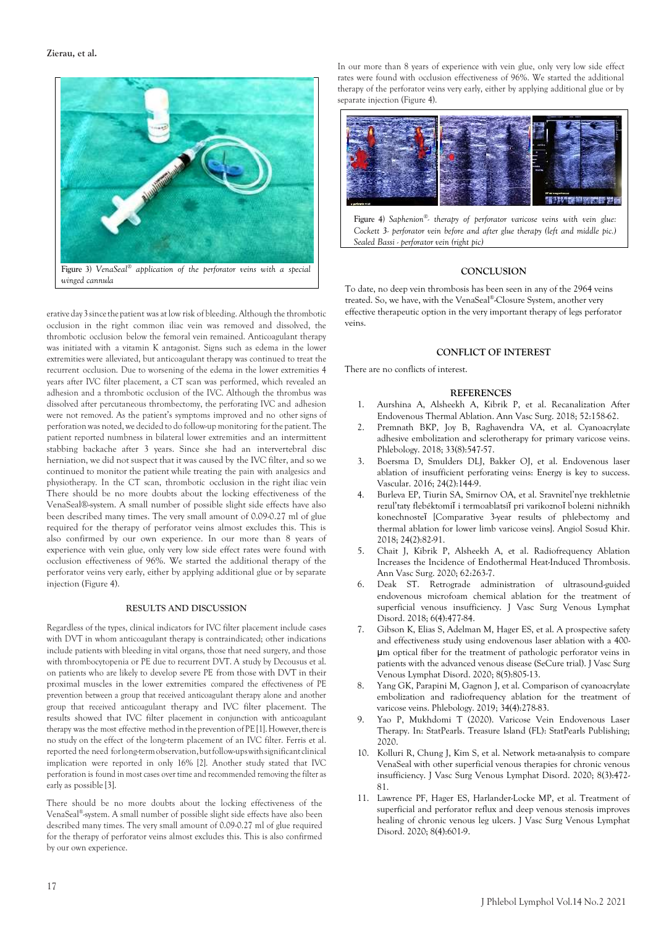

erative day 3 since the patient was at low risk of bleeding. Although the thrombotic occlusion in the right common iliac vein was removed and dissolved, the thrombotic occlusion below the femoral vein remained. Anticoagulant therapy was initiated with a vitamin K antagonist. Signs such as edema in the lower extremities were alleviated, but anticoagulant therapy was continued to treat the recurrent occlusion. Due to worsening of the edema in the lower extremities 4 years after IVC filter placement, a CT scan was performed, which revealed an adhesion and a thrombotic occlusion of the IVC. Although the thrombus was dissolved after percutaneous thrombectomy, the perforating IVC and adhesion were not removed. As the patient's symptoms improved and no other signs of perforation was noted, we decided to do follow-up monitoring forthe patient. The patient reported numbness in bilateral lower extremities and an intermittent stabbing backache after 3 years. Since she had an intervertebral disc herniation, we did not suspect that it was caused by the IVC filter, and so we continued to monitor the patient while treating the pain with analgesics and physiotherapy. In the CT scan, thrombotic occlusion in the right iliac vein There should be no more doubts about the locking effectiveness of the VenaSeal®-system. A small number of possible slight side effects have also been described many times. The very small amount of 0.09-0.27 ml of glue required for the therapy of perforator veins almost excludes this. This is also confirmed by our own experience. In our more than 8 years of experience with vein glue, only very low side effect rates were found with occlusion effectiveness of 96%. We started the additional therapy of the perforator veins very early, either by applying additional glue or by separate injection (Figure 4).

#### **RESULTS AND DISCUSSION**

Regardless of the types, clinical indicators for IVC filter placement include cases with DVT in whom anticoagulant therapy is contraindicated; other indications include patients with bleeding in vital organs, those that need surgery, and those with thrombocytopenia or PE due to recurrent DVT. A study by Decousus et al. on patients who are likely to develop severe PE from those with DVT in their proximal muscles in the lower extremities compared the effectiveness of PE prevention between a group that received anticoagulant therapy alone and another group that received anticoagulant therapy and IVC filter placement. The results showed that IVC filter placement in conjunction with anticoagulant therapy was the most effective method in the prevention of PE [1]. However, there is no study on the effect of the long-term placement of an IVC filter. Ferris et al. reported the need forlong-termobservation,butfollow-upswithsignificantclinical implication were reported in only 16% [2]. Another study stated that IVC perforation is found in most cases over time and recommended removing the filter as early as possible [3].

There should be no more doubts about the locking effectiveness of the VenaSeal® -system. A small number of possible slight side effects have also been described many times. The very small amount of 0.09-0.27 ml of glue required for the therapy of perforator veins almost excludes this. This is also confirmed by our own experience.

In our more than 8 years of experience with vein glue, only very low side effect rates were found with occlusion effectiveness of 96%. We started the additional therapy of the perforator veins very early, either by applying additional glue or by separate injection (Figure 4).



**Figure 4)** *Saphenion® - therapy of perforator varicose veins with vein glue: Cockett 3- perforator vein before and after glue therapy (left and middle pic.) Sealed Bassi - perforator vein (right pic)*

# **CONCLUSION**

To date, no deep vein thrombosis has been seen in any of the 2964 veins treated. So, we have, with the VenaSeal® -Closure System, another very effective therapeutic option in the very important therapy of legs perforator veins.

# **CONFLICT OF INTEREST**

There are no conflicts of interest.

#### **REFERENCES**

- 1. Aurshina A, Alsheekh A, Kibrik P, et al. Recanalization After Endovenous Thermal Ablation. Ann Vasc Surg. 2018; 52:158-62.
- 2. Premnath BKP, Joy B, Raghavendra VA, et al. Cyanoacrylate adhesive embolization and sclerotherapy for primary varicose veins. Phlebology. 2018; 33(8):547-57.
- 3. Boersma D, Smulders DLJ, Bakker OJ, et al. Endovenous laser ablation of insufficient perforating veins: Energy is key to success. Vascular. 2016; 24(2):144-9.
- 4. Burleva EP, Tiurin SA, Smirnov OA, et al. Sravnitel'nye trekhletnie rezul'taty flebéktomiĭ i termoablatsiĭ pri varikoznoĭ bolezni nizhnikh konechnosteĭ [Comparative 3-year results of phlebectomy and thermal ablation for lower limb varicose veins]. Angiol Sosud Khir. 2018; 24(2):82-91.
- 5. Chait J, Kibrik P, Alsheekh A, et al. Radiofrequency Ablation Increases the Incidence of Endothermal Heat-Induced Thrombosis. Ann Vasc Surg. 2020; 62:263-7.
- 6. Deak ST. Retrograde administration of ultrasound-guided endovenous microfoam chemical ablation for the treatment of superficial venous insufficiency. J Vasc Surg Venous Lymphat Disord. 2018; 6(4):477-84.
- 7. Gibson K, Elias S, Adelman M, Hager ES, et al. A prospective safety and effectiveness study using endovenous laser ablation with a 400 μm optical fiber for the treatment of pathologic perforator veins in patients with the advanced venous disease (SeCure trial). J Vasc Surg Venous Lymphat Disord. 2020; 8(5):805-13.
- Yang GK, Parapini M, Gagnon J, et al. Comparison of cyanoacrylate embolization and radiofrequency ablation for the treatment of varicose veins. Phlebology. 2019; 34(4):278-83.
- 9. Yao P, Mukhdomi T (2020). Varicose Vein Endovenous Laser Therapy. In: StatPearls. Treasure Island (FL): StatPearls Publishing; 2020.
- 10. Kolluri R, Chung J, Kim S, et al. Network meta-analysis to compare VenaSeal with other superficial venous therapies for chronic venous insufficiency. J Vasc Surg Venous Lymphat Disord. 2020; 8(3):472- 81.
- 11. Lawrence PF, Hager ES, Harlander-Locke MP, et al. Treatment of superficial and perforator reflux and deep venous stenosis improves healing of chronic venous leg ulcers. J Vasc Surg Venous Lymphat Disord. 2020; 8(4):601-9.